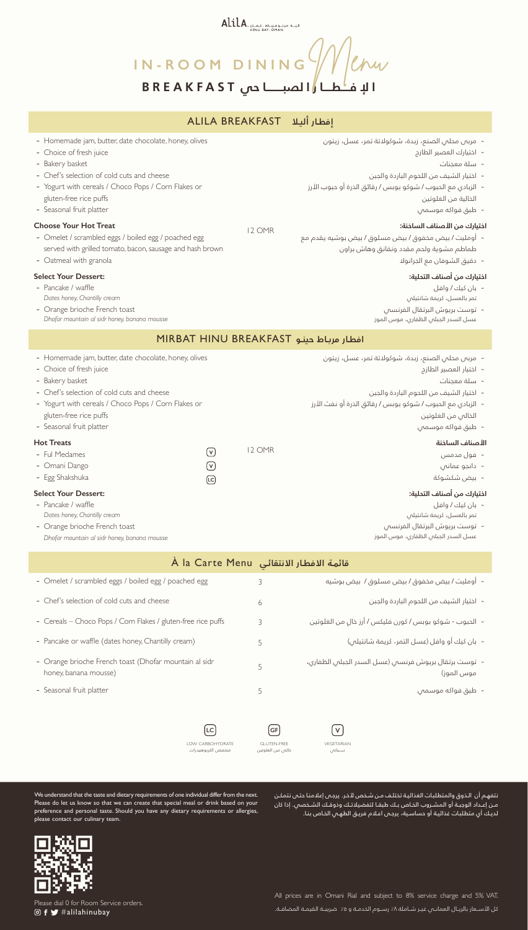ALILA. البيد جينومرياط غمان ALILA

**ا إل فــــطــــا ر ا لصبــــــــا حي BREAKFAST IN-ROOM DINING** Went

#### **إفطـار أليـا** BREAKFAST ALILA

| - Homemade jam, butter, date chocolate, honey, olives<br>- Choice of fresh juice<br>- Bakery basket<br>- Chef's selection of cold cuts and cheese<br>- Yogurt with cereals / Choco Pops / Corn Flakes or<br>gluten-free rice puffs<br>- Seasonal fruit platter<br><b>Choose Your Hot Treat</b><br>- Omelet / scrambled eggs / boiled egg / poached egg<br>served with grilled tomato, bacon, sausage and hash brown<br>- Oatmeal with granola<br><b>Select Your Dessert:</b><br>- Pancake / waffle<br>Dates honey, Chantilly cream<br>- Orange brioche French toast<br>Dhofar mountain al sidr honey, banana mousse |                                              | 12 OMR                                        | - مربس محلس الصنع، زبدة، شوكولاتة تمر، عسل، زيتون<br>- اختيارك العصير الطازج<br>- سلة معجنات<br>- اختيار الشيف من اللحوم الباردة والجبن<br>-   الزبادي مع الحبوب / شوكو بوبس / رقائق الذرة أو حبوب الأرز<br>الخالية من الغلوتين<br>- طبق فواكه موسمى<br>اختيارك من الأصناف الساخنة:<br>-   أومليت / بيض مخفوق / بيض مسلوق / بيض بوشيه يقدم مع<br>طماطم مشوية ولحم مقدد ونقانق وهاش براون<br>- دقيق الشوفان مع الجرانولا<br>اختيارك من أصناف التحلية:<br>- بان کیك / وافل<br>تمر بالعسل، كريمة شانتيلص<br>- توست بريوش البرتقال الفرنسص<br>عسل السدر الجبلى الظفارى، موس الموز |  |  |  |
|---------------------------------------------------------------------------------------------------------------------------------------------------------------------------------------------------------------------------------------------------------------------------------------------------------------------------------------------------------------------------------------------------------------------------------------------------------------------------------------------------------------------------------------------------------------------------------------------------------------------|----------------------------------------------|-----------------------------------------------|-------------------------------------------------------------------------------------------------------------------------------------------------------------------------------------------------------------------------------------------------------------------------------------------------------------------------------------------------------------------------------------------------------------------------------------------------------------------------------------------------------------------------------------------------------------------------------|--|--|--|
| MIRBAT HINU BREAKFAST افطار مرباط حینو                                                                                                                                                                                                                                                                                                                                                                                                                                                                                                                                                                              |                                              |                                               |                                                                                                                                                                                                                                                                                                                                                                                                                                                                                                                                                                               |  |  |  |
| - Homemade jam, butter, date chocolate, honey, olives<br>- Choice of fresh juice<br>- Bakery basket<br>- Chef's selection of cold cuts and cheese<br>- Yogurt with cereals / Choco Pops / Corn Flakes or<br>gluten-free rice puffs<br>- Seasonal fruit platter<br><b>Hot Treats</b><br>- Ful Medames<br>- Omani Dango<br>- Egg Shakshuka<br><b>Select Your Dessert:</b><br>- Pancake / waffle<br>Dates honey, Chantilly cream<br>- Orange brioche French toast<br>Dhofar mountain al sidr honey, banana mousse                                                                                                      | $\circledcirc$<br>$\textcircled{v}$<br>ုင    | 12 OMR                                        | - مربس محلس الصنع، زبدة، شوكولاتة تمر، عسل، زيتون<br>- اختيار العصير الطازج<br>- سلة معدنات<br>- اختيار الشيف من اللحوم الباردة والجبن<br>-   الزبادى مع الحبوب / شوكو بوبس / رقائق الذرة أو نفث الأرز<br>الخالص من الغلوتين<br>- طبق فواكه موسمى<br>الأصناف الساخنة<br>- فول مدمس<br>- دانجو عمانی<br>- بيض شكشوكة<br>اختيارك من أصناف التحلية:<br>- بان کیك / وافل<br>تمر بالعسل، كريمة شانتيلص<br>- توست بريوش البرتقال الفرنسم<br>عسل السدر الجبلى الظفاري، موس الموز                                                                                                     |  |  |  |
|                                                                                                                                                                                                                                                                                                                                                                                                                                                                                                                                                                                                                     |                                              | A la Carte Menu مَائمة الافطار الانتقائي      |                                                                                                                                                                                                                                                                                                                                                                                                                                                                                                                                                                               |  |  |  |
| - Omelet / scrambled eggs / boiled egg / poached egg                                                                                                                                                                                                                                                                                                                                                                                                                                                                                                                                                                |                                              | 3                                             | -   أومليت / بيض مخفوق / بيض مسلوق /  بيض بوشيه                                                                                                                                                                                                                                                                                                                                                                                                                                                                                                                               |  |  |  |
| - Chef's selection of cold cuts and cheese                                                                                                                                                                                                                                                                                                                                                                                                                                                                                                                                                                          |                                              | 6                                             | - اختيار الشيف من اللحوم الباردة والجبن                                                                                                                                                                                                                                                                                                                                                                                                                                                                                                                                       |  |  |  |
| - Cereals - Choco Pops / Corn Flakes / gluten-free rice puffs                                                                                                                                                                                                                                                                                                                                                                                                                                                                                                                                                       |                                              | 3                                             | - الحبوب - شوكو بوبس / كورن فليكس / أرز خالٍ من الغلوتين                                                                                                                                                                                                                                                                                                                                                                                                                                                                                                                      |  |  |  |
| - Pancake or waffle (dates honey, Chantilly cream)                                                                                                                                                                                                                                                                                                                                                                                                                                                                                                                                                                  |                                              | 5                                             | -  بان كيك أو وافل (عسل التمر، كريمة شانتيلى)                                                                                                                                                                                                                                                                                                                                                                                                                                                                                                                                 |  |  |  |
| - Orange brioche French toast (Dhofar mountain al sidr<br>honey, banana mousse)                                                                                                                                                                                                                                                                                                                                                                                                                                                                                                                                     |                                              | 5                                             | -   توست برتقال بريوش فرنسص (عسل السدر الجبلص الظفارى،<br>موس الموز)                                                                                                                                                                                                                                                                                                                                                                                                                                                                                                          |  |  |  |
| - Seasonal fruit platter                                                                                                                                                                                                                                                                                                                                                                                                                                                                                                                                                                                            |                                              | 5                                             | - طبق فواكه موسمى                                                                                                                                                                                                                                                                                                                                                                                                                                                                                                                                                             |  |  |  |
|                                                                                                                                                                                                                                                                                                                                                                                                                                                                                                                                                                                                                     | LC<br>LOW CARBOHYDRATE<br>منخفض الكربوهيدرات | GF<br><b>GLUTEN-FREE</b><br>خالمي من الغلوتين | $\mathsf{V}$<br>VEGETARIAN<br>نـــــــباتى                                                                                                                                                                                                                                                                                                                                                                                                                                                                                                                                    |  |  |  |

We understand that the taste and dietary requirements of one individual differ from the next. Please do let us know so that we can create that special meal or drink based on your preference and personal taste. Should you have any dietary requirements or allergies, please contact our culinary team.

نتفهـم أن الـذوق والمتطلبـات الغذائيـة تختلـف مـن شـخص آلخـر. يرجـى إعالمنـا حتـى نتمكـن مــن إعــداد الوجبــة أو المشــروب الخــاص بــك طبقــا لتفضيالتــك وذوقــك الشــخصي. إذا كان لديـك أي متطلبـات غذائيـة أو حساسـية، يرجـى اعـام فريـق الطهـي الخـاص بنـا.



All prices are in Omani Rial and subject to 8% service charge and 5% VAT. .<br><sub>إ</sub> كل الأســعار بالريـال العمانــ*ي غيـر* شـاملة ٨٪ رســوم الخدمـة و ٥٪ ضريبـة القيمـة المضافـة.

Please dial 0 for Room Service orders. alilahinubay#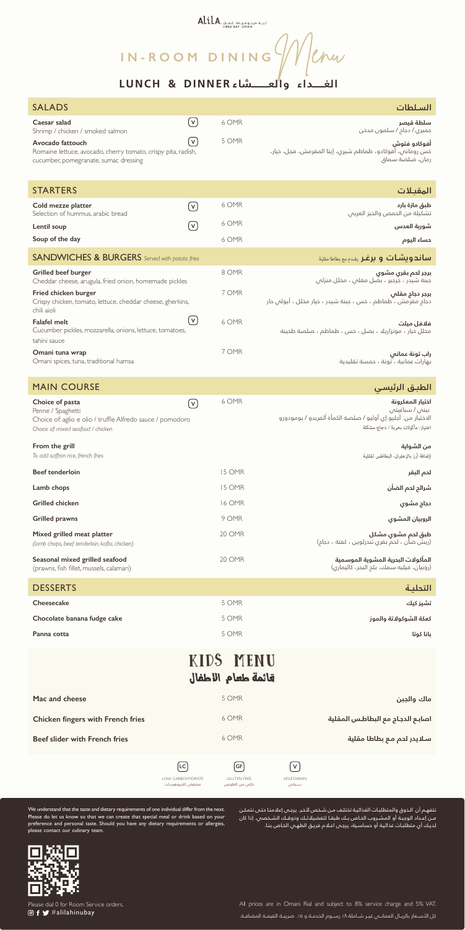# AlilA. البياد حيثومرياط عملية المسابقة المستومرياط المستومرياط

**IN-ROOM DINING**Were

| <b>SALADS</b>                                                                                                                            |                                      | السلطات                                                                                                                                  |
|------------------------------------------------------------------------------------------------------------------------------------------|--------------------------------------|------------------------------------------------------------------------------------------------------------------------------------------|
| Caesar salad<br>Shrimp / chicken / smoked salmon                                                                                         | $(\mathsf{v})$<br>6 OMR              | سلطة قيصر<br>جمبري / دجاج / سلمون مدخن                                                                                                   |
| Avocado fattouch<br>Romaine lettuce, avocado, cherry tomato, crispy pita, radish,<br>cucumber, pomegranate, sumac dressing               | $[\boldsymbol{\mathsf{v}}]$<br>5 OMR | أفوكادو فتوش<br>خس رومانى، أفوكادو، طماطم شيرى، إيتا المقرمش، فجل، خيار،<br>رمان، صلصة سماق                                              |
| <b>STARTERS</b>                                                                                                                          |                                      | المقبلات                                                                                                                                 |
| Cold mezze platter<br>Selection of hummus, arabic bread                                                                                  | 6 OMR<br>$(\mathsf{v})$              | طبق مازة بارد<br>تشكيلة من الحمص والخبز العربى                                                                                           |
| Lentil soup                                                                                                                              | 6 OMR<br>$[\mathsf{v}]$              | شوربة العدس                                                                                                                              |
| Soup of the day                                                                                                                          | 6 OMR                                | حساء اليوم                                                                                                                               |
| <b>SANDWICHES &amp; BURGERS</b> Served with potato fries                                                                                 |                                      | <b>ساندویشات و برغر</b> یقدم مع بطاطا مقلیة                                                                                              |
| <b>Grilled beef burger</b><br>Cheddar cheese, arugula, fried onion, homemade pickles                                                     | 8 OMR                                | برجر لحم بقرى مشوى<br>جبنة شيدر ، جرجير ، بصل مقلص ، مخلل منزلمي                                                                         |
| Fried chicken burger<br>Crispy chicken, tomato, lettuce, cheddar cheese, gherkins,<br>chili aioli                                        | 7 OMR                                | برجر دجاج مقلص<br>دجاج مقرمش ، طماطم ، خس ، جبنة شيدر ، خيار مخلل ، أيولى حار                                                            |
| <b>Falafel melt</b><br>Cucumber pickles, mozzarella, onions, lettuce, tomatoes,<br>tahini sauce                                          | $\lceil \mathsf{v} \rceil$<br>6 OMR  | فلافل مىلت<br>مخلل خيار ، موتزاريلا ، بصل ، خس ، طماطم ، صلصة طحينة                                                                      |
| Omani tuna wrap<br>Omani spices, tuna, traditional hamsa                                                                                 | 7 OMR                                | راب تونة عمانى<br>بهارات عمانية ، تونة ، حمسة تقليدية                                                                                    |
|                                                                                                                                          |                                      |                                                                                                                                          |
| <b>MAIN COURSE</b>                                                                                                                       |                                      | الطبق الرئيسي                                                                                                                            |
| Choice of pasta<br>Penne / Spaghetti<br>Choice of: aglio e olio / truffle Alfredo sauce / pomodoro<br>Choice of: mixed seafood / chicken | 6 OMR<br>$(\mathsf{v})$              | اختيار المعكرونة<br>بینی / سباغیتی<br>الاختيار من: أجليو إي أوليو / صلصة الكمأة ألفريدو / بومودورو<br>اختيار: مأكولات بحرية / دجاج مشكلة |
| From the grill<br>To add saffron rice, french fries                                                                                      |                                      | من الشواية<br>لإضافة أرز بالزعفران، البطاطس المقلية                                                                                      |
| <b>Beef tenderloin</b>                                                                                                                   | 15 OMR                               | لحم البقر                                                                                                                                |
| Lamb chops                                                                                                                               | 15 OMR                               | شرائح لحم الضأن                                                                                                                          |
| <b>Grilled chicken</b>                                                                                                                   | <b>16 OMR</b>                        | دجاج مشوي                                                                                                                                |
| <b>Grilled prawns</b>                                                                                                                    | 9 OMR                                | الروبيان المشوي                                                                                                                          |
| Mixed grilled meat platter<br>(lamb chops, beef tenderloin, kofta, chicken)                                                              | 20 OMR                               | طبق لحم مشوي مشكل<br>(ريش ضأن ، لحمّ بقرى تندرلوين ، كفتة ، دجاج)                                                                        |
| Seasonal mixed grilled seafood<br>(prawns, fish fillet, mussels, calamari)                                                               | 20 OMR                               | المأكولات البحرية المشوية الموسمية<br>(روبیان، فیلیه سمك، بلم البحر، كالیماری)                                                           |
| <b>DESSERTS</b>                                                                                                                          |                                      | التحلية                                                                                                                                  |
| Cheesecake                                                                                                                               | 5 OMR                                | تشيز كيك                                                                                                                                 |
| Chocolate banana fudge cake                                                                                                              | 5 OMR                                | كعكة الشوكولاتة والموز                                                                                                                   |
| Panna cotta                                                                                                                              | 5 OMR                                | بانا كوتا                                                                                                                                |

### KIDS' MENU قائمة طعام االطفال

نتفهـم أن الـذوق والمتطلبـات الغذائيـة تختلـف مـن شـخص آلخـر. يرجـى إعالمنـا حتـى نتمكـن مــن إعــداد الوجبــة أو المشــروب الخــاص بــك طبقــا لتفضيالتــك وذوقــك الشــخصي. إذا كان لديـك أي متطلبـات غذائيـة أو حساسـية، يرجـى اعـام فريـق الطهـي الخـاص بنـا.



Please dial 0 for Room Service orders.  $\circledcirc$  f  $\blacktriangleright$  #alilahinubay

All prices are in Omani Rial and subject to 8% service charge and 5% VAT. كل الأسـعار بالريـال العمانــي غيـر شــاملة ٨٪ رســوم الخدمـة و ٥٪ ضريبـة القيمـة المضافـة.



We understand that the taste and dietary requirements of one individual differ from the next. Please do let us know so that we can create that special meal or drink based on your preference and personal taste. Should you have any dietary requirements or allergies, please contact our culinary team.

#### **الغــــــداء والعـــــــــشاء DINNER & LUNCH**